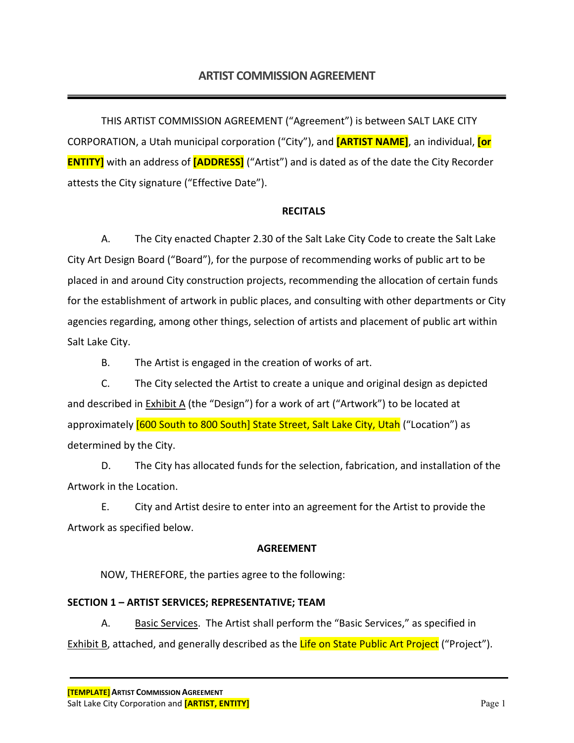THIS ARTIST COMMISSION AGREEMENT ("Agreement") is between SALT LAKE CITY CORPORATION, a Utah municipal corporation ("City"), and **[ARTIST NAME]**, an individual, **[or ENTITY]** with an address of **[ADDRESS]** ("Artist") and is dated as of the date the City Recorder attests the City signature ("Effective Date").

#### **RECITALS**

A. The City enacted Chapter 2.30 of the Salt Lake City Code to create the Salt Lake City Art Design Board ("Board"), for the purpose of recommending works of public art to be placed in and around City construction projects, recommending the allocation of certain funds for the establishment of artwork in public places, and consulting with other departments or City agencies regarding, among other things, selection of artists and placement of public art within Salt Lake City.

B. The Artist is engaged in the creation of works of art.

C. The City selected the Artist to create a unique and original design as depicted and described in Exhibit A (the "Design") for a work of art ("Artwork") to be located at approximately **[600 South to 800 South] State Street, Salt Lake City, Utah** ("Location") as determined by the City.

D. The City has allocated funds for the selection, fabrication, and installation of the Artwork in the Location.

E. City and Artist desire to enter into an agreement for the Artist to provide the Artwork as specified below.

#### **AGREEMENT**

NOW, THEREFORE, the parties agree to the following:

## **SECTION 1 – ARTIST SERVICES; REPRESENTATIVE; TEAM**

A. Basic Services. The Artist shall perform the "Basic Services," as specified in Exhibit B, attached, and generally described as the Life on State Public Art Project ("Project").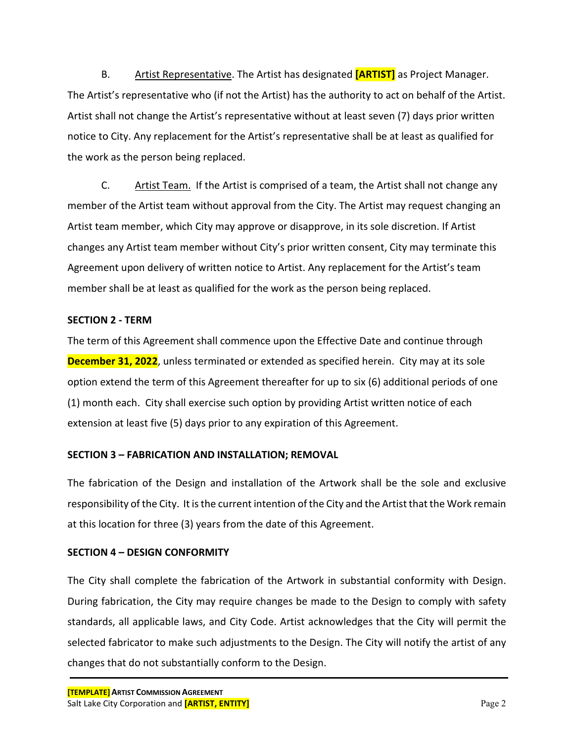B. Artist Representative. The Artist has designated **[ARTIST]** as Project Manager. The Artist's representative who (if not the Artist) has the authority to act on behalf of the Artist. Artist shall not change the Artist's representative without at least seven (7) days prior written notice to City. Any replacement for the Artist's representative shall be at least as qualified for the work as the person being replaced.

C. Artist Team. If the Artist is comprised of a team, the Artist shall not change any member of the Artist team without approval from the City. The Artist may request changing an Artist team member, which City may approve or disapprove, in its sole discretion. If Artist changes any Artist team member without City's prior written consent, City may terminate this Agreement upon delivery of written notice to Artist. Any replacement for the Artist's team member shall be at least as qualified for the work as the person being replaced.

#### **SECTION 2 - TERM**

The term of this Agreement shall commence upon the Effective Date and continue through **December 31, 2022**, unless terminated or extended as specified herein. City may at its sole option extend the term of this Agreement thereafter for up to six (6) additional periods of one (1) month each. City shall exercise such option by providing Artist written notice of each extension at least five (5) days prior to any expiration of this Agreement.

## **SECTION 3 – FABRICATION AND INSTALLATION; REMOVAL**

The fabrication of the Design and installation of the Artwork shall be the sole and exclusive responsibility of the City. It is the current intention of the City and the Artist that the Work remain at this location for three (3) years from the date of this Agreement.

## **SECTION 4 – DESIGN CONFORMITY**

The City shall complete the fabrication of the Artwork in substantial conformity with Design. During fabrication, the City may require changes be made to the Design to comply with safety standards, all applicable laws, and City Code. Artist acknowledges that the City will permit the selected fabricator to make such adjustments to the Design. The City will notify the artist of any changes that do not substantially conform to the Design.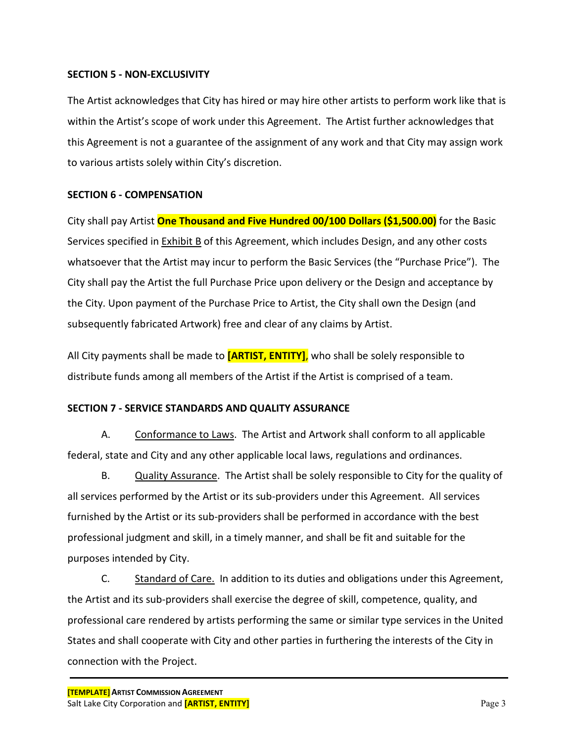#### **SECTION 5 - NON-EXCLUSIVITY**

The Artist acknowledges that City has hired or may hire other artists to perform work like that is within the Artist's scope of work under this Agreement. The Artist further acknowledges that this Agreement is not a guarantee of the assignment of any work and that City may assign work to various artists solely within City's discretion.

#### **SECTION 6 - COMPENSATION**

City shall pay Artist **One Thousand and Five Hundred 00/100 Dollars (\$1,500.00)** for the Basic Services specified in Exhibit B of this Agreement, which includes Design, and any other costs whatsoever that the Artist may incur to perform the Basic Services (the "Purchase Price"). The City shall pay the Artist the full Purchase Price upon delivery or the Design and acceptance by the City. Upon payment of the Purchase Price to Artist, the City shall own the Design (and subsequently fabricated Artwork) free and clear of any claims by Artist.

All City payments shall be made to **[ARTIST, ENTITY]**, who shall be solely responsible to distribute funds among all members of the Artist if the Artist is comprised of a team.

#### **SECTION 7 - SERVICE STANDARDS AND QUALITY ASSURANCE**

A. Conformance to Laws. The Artist and Artwork shall conform to all applicable federal, state and City and any other applicable local laws, regulations and ordinances.

B. Quality Assurance. The Artist shall be solely responsible to City for the quality of all services performed by the Artist or its sub-providers under this Agreement. All services furnished by the Artist or its sub-providers shall be performed in accordance with the best professional judgment and skill, in a timely manner, and shall be fit and suitable for the purposes intended by City.

C. Standard of Care. In addition to its duties and obligations under this Agreement, the Artist and its sub-providers shall exercise the degree of skill, competence, quality, and professional care rendered by artists performing the same or similar type services in the United States and shall cooperate with City and other parties in furthering the interests of the City in connection with the Project.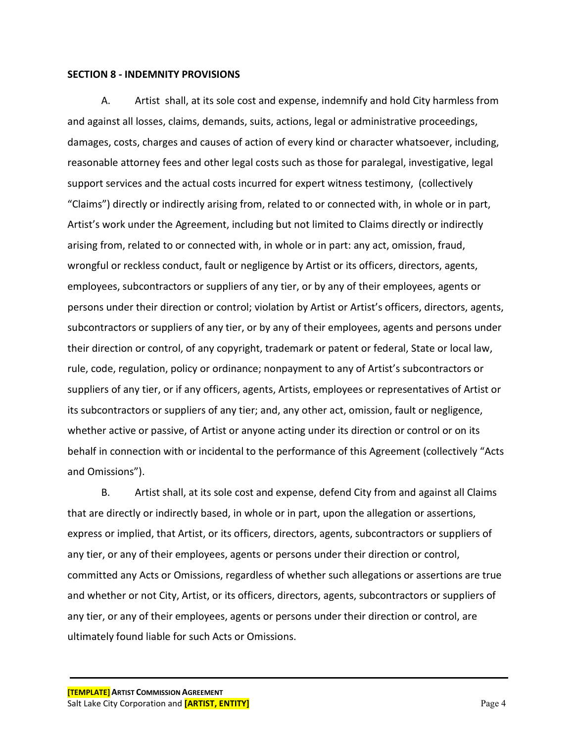#### **SECTION 8 - INDEMNITY PROVISIONS**

A. Artist shall, at its sole cost and expense, indemnify and hold City harmless from and against all losses, claims, demands, suits, actions, legal or administrative proceedings, damages, costs, charges and causes of action of every kind or character whatsoever, including, reasonable attorney fees and other legal costs such as those for paralegal, investigative, legal support services and the actual costs incurred for expert witness testimony, (collectively "Claims") directly or indirectly arising from, related to or connected with, in whole or in part, Artist's work under the Agreement, including but not limited to Claims directly or indirectly arising from, related to or connected with, in whole or in part: any act, omission, fraud, wrongful or reckless conduct, fault or negligence by Artist or its officers, directors, agents, employees, subcontractors or suppliers of any tier, or by any of their employees, agents or persons under their direction or control; violation by Artist or Artist's officers, directors, agents, subcontractors or suppliers of any tier, or by any of their employees, agents and persons under their direction or control, of any copyright, trademark or patent or federal, State or local law, rule, code, regulation, policy or ordinance; nonpayment to any of Artist's subcontractors or suppliers of any tier, or if any officers, agents, Artists, employees or representatives of Artist or its subcontractors or suppliers of any tier; and, any other act, omission, fault or negligence, whether active or passive, of Artist or anyone acting under its direction or control or on its behalf in connection with or incidental to the performance of this Agreement (collectively "Acts and Omissions").

B. Artist shall, at its sole cost and expense, defend City from and against all Claims that are directly or indirectly based, in whole or in part, upon the allegation or assertions, express or implied, that Artist, or its officers, directors, agents, subcontractors or suppliers of any tier, or any of their employees, agents or persons under their direction or control, committed any Acts or Omissions, regardless of whether such allegations or assertions are true and whether or not City, Artist, or its officers, directors, agents, subcontractors or suppliers of any tier, or any of their employees, agents or persons under their direction or control, are ultimately found liable for such Acts or Omissions.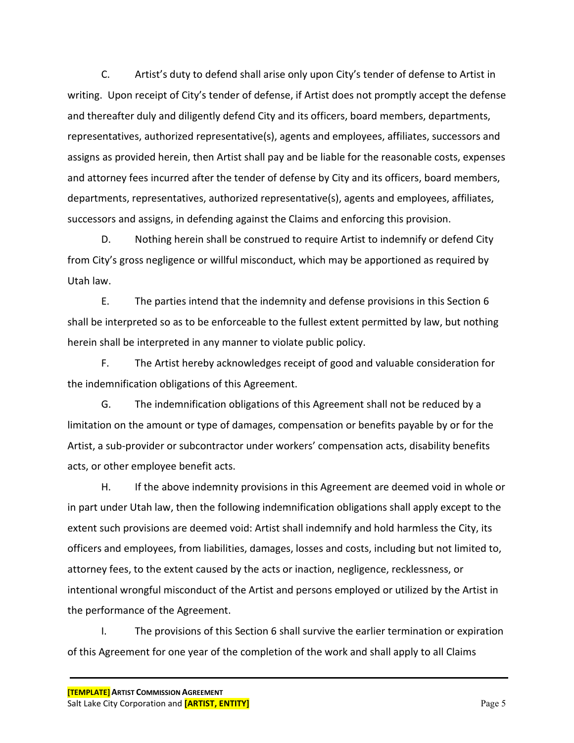C. Artist's duty to defend shall arise only upon City's tender of defense to Artist in writing. Upon receipt of City's tender of defense, if Artist does not promptly accept the defense and thereafter duly and diligently defend City and its officers, board members, departments, representatives, authorized representative(s), agents and employees, affiliates, successors and assigns as provided herein, then Artist shall pay and be liable for the reasonable costs, expenses and attorney fees incurred after the tender of defense by City and its officers, board members, departments, representatives, authorized representative(s), agents and employees, affiliates, successors and assigns, in defending against the Claims and enforcing this provision.

D. Nothing herein shall be construed to require Artist to indemnify or defend City from City's gross negligence or willful misconduct, which may be apportioned as required by Utah law.

E. The parties intend that the indemnity and defense provisions in this Section 6 shall be interpreted so as to be enforceable to the fullest extent permitted by law, but nothing herein shall be interpreted in any manner to violate public policy.

F. The Artist hereby acknowledges receipt of good and valuable consideration for the indemnification obligations of this Agreement.

G. The indemnification obligations of this Agreement shall not be reduced by a limitation on the amount or type of damages, compensation or benefits payable by or for the Artist, a sub-provider or subcontractor under workers' compensation acts, disability benefits acts, or other employee benefit acts.

H. If the above indemnity provisions in this Agreement are deemed void in whole or in part under Utah law, then the following indemnification obligations shall apply except to the extent such provisions are deemed void: Artist shall indemnify and hold harmless the City, its officers and employees, from liabilities, damages, losses and costs, including but not limited to, attorney fees, to the extent caused by the acts or inaction, negligence, recklessness, or intentional wrongful misconduct of the Artist and persons employed or utilized by the Artist in the performance of the Agreement.

I. The provisions of this Section 6 shall survive the earlier termination or expiration of this Agreement for one year of the completion of the work and shall apply to all Claims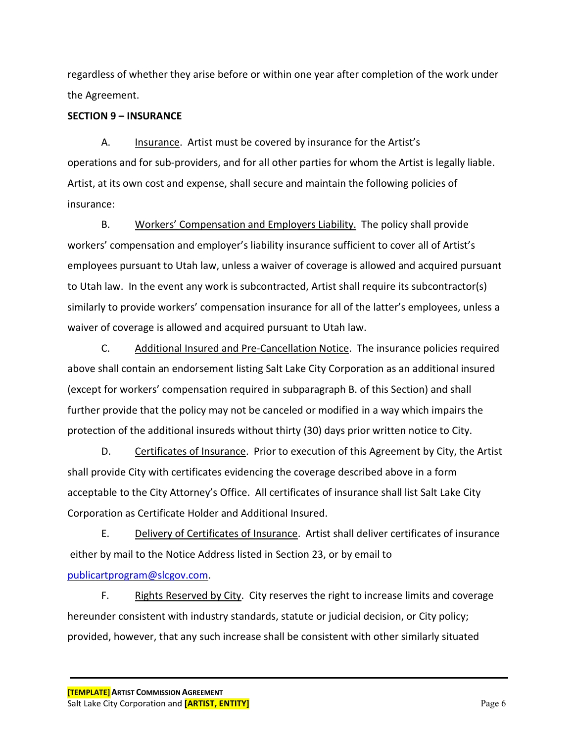regardless of whether they arise before or within one year after completion of the work under the Agreement.

## **SECTION 9 – INSURANCE**

A. Insurance. Artist must be covered by insurance for the Artist's operations and for sub-providers, and for all other parties for whom the Artist is legally liable. Artist, at its own cost and expense, shall secure and maintain the following policies of insurance:

B. Workers' Compensation and Employers Liability. The policy shall provide workers' compensation and employer's liability insurance sufficient to cover all of Artist's employees pursuant to Utah law, unless a waiver of coverage is allowed and acquired pursuant to Utah law. In the event any work is subcontracted, Artist shall require its subcontractor(s) similarly to provide workers' compensation insurance for all of the latter's employees, unless a waiver of coverage is allowed and acquired pursuant to Utah law.

C. Additional Insured and Pre-Cancellation Notice. The insurance policies required above shall contain an endorsement listing Salt Lake City Corporation as an additional insured (except for workers' compensation required in subparagraph B. of this Section) and shall further provide that the policy may not be canceled or modified in a way which impairs the protection of the additional insureds without thirty (30) days prior written notice to City.

D. Certificates of Insurance. Prior to execution of this Agreement by City, the Artist shall provide City with certificates evidencing the coverage described above in a form acceptable to the City Attorney's Office. All certificates of insurance shall list Salt Lake City Corporation as Certificate Holder and Additional Insured.

E. Delivery of Certificates of Insurance. Artist shall deliver certificates of insurance either by mail to the Notice Address listed in Section 23, or by email to

## [publicartprogram@slcgov.com.](mailto:publicartprogram@slcgov.com)

F. Rights Reserved by City. City reserves the right to increase limits and coverage hereunder consistent with industry standards, statute or judicial decision, or City policy; provided, however, that any such increase shall be consistent with other similarly situated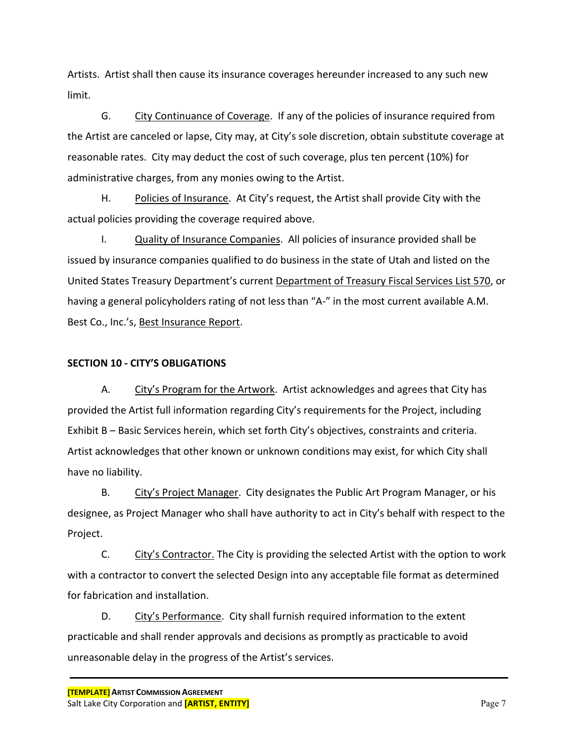Artists. Artist shall then cause its insurance coverages hereunder increased to any such new limit.

G. City Continuance of Coverage. If any of the policies of insurance required from the Artist are canceled or lapse, City may, at City's sole discretion, obtain substitute coverage at reasonable rates. City may deduct the cost of such coverage, plus ten percent (10%) for administrative charges, from any monies owing to the Artist.

H. Policies of Insurance. At City's request, the Artist shall provide City with the actual policies providing the coverage required above.

I. Quality of Insurance Companies. All policies of insurance provided shall be issued by insurance companies qualified to do business in the state of Utah and listed on the United States Treasury Department's current Department of Treasury Fiscal Services List 570, or having a general policyholders rating of not less than "A-" in the most current available A.M. Best Co., Inc.'s, Best Insurance Report.

## **SECTION 10 - CITY'S OBLIGATIONS**

A. City's Program for the Artwork. Artist acknowledges and agrees that City has provided the Artist full information regarding City's requirements for the Project, including Exhibit B – Basic Services herein, which set forth City's objectives, constraints and criteria. Artist acknowledges that other known or unknown conditions may exist, for which City shall have no liability.

B. City's Project Manager. City designates the Public Art Program Manager, or his designee, as Project Manager who shall have authority to act in City's behalf with respect to the Project.

C. City's Contractor. The City is providing the selected Artist with the option to work with a contractor to convert the selected Design into any acceptable file format as determined for fabrication and installation.

D. City's Performance. City shall furnish required information to the extent practicable and shall render approvals and decisions as promptly as practicable to avoid unreasonable delay in the progress of the Artist's services.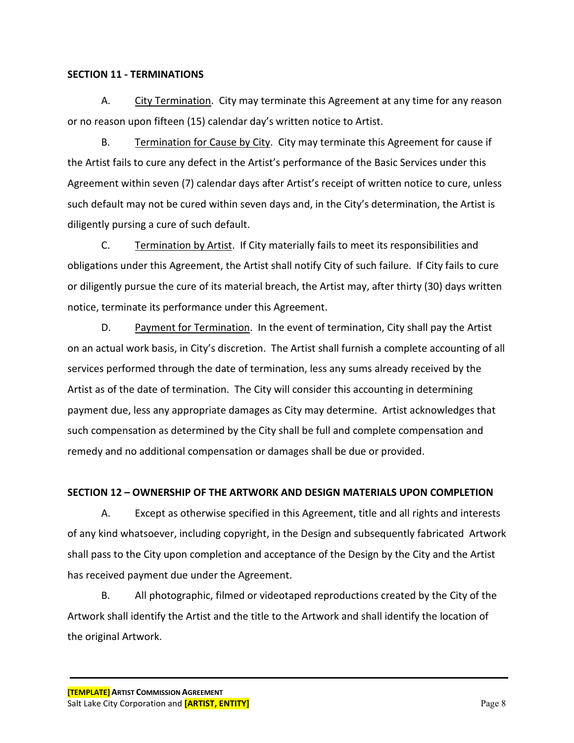#### **SECTION 11 - TERMINATIONS**

A. City Termination. City may terminate this Agreement at any time for any reason or no reason upon fifteen (15) calendar day's written notice to Artist.

B. Termination for Cause by City. City may terminate this Agreement for cause if the Artist fails to cure any defect in the Artist's performance of the Basic Services under this Agreement within seven (7) calendar days after Artist's receipt of written notice to cure, unless such default may not be cured within seven days and, in the City's determination, the Artist is diligently pursing a cure of such default.

C. Termination by Artist. If City materially fails to meet its responsibilities and obligations under this Agreement, the Artist shall notify City of such failure. If City fails to cure or diligently pursue the cure of its material breach, the Artist may, after thirty (30) days written notice, terminate its performance under this Agreement.

D. Payment for Termination. In the event of termination, City shall pay the Artist on an actual work basis, in City's discretion. The Artist shall furnish a complete accounting of all services performed through the date of termination, less any sums already received by the Artist as of the date of termination. The City will consider this accounting in determining payment due, less any appropriate damages as City may determine. Artist acknowledges that such compensation as determined by the City shall be full and complete compensation and remedy and no additional compensation or damages shall be due or provided.

## **SECTION 12 – OWNERSHIP OF THE ARTWORK AND DESIGN MATERIALS UPON COMPLETION**

A. Except as otherwise specified in this Agreement, title and all rights and interests of any kind whatsoever, including copyright, in the Design and subsequently fabricated Artwork shall pass to the City upon completion and acceptance of the Design by the City and the Artist has received payment due under the Agreement.

B. All photographic, filmed or videotaped reproductions created by the City of the Artwork shall identify the Artist and the title to the Artwork and shall identify the location of the original Artwork.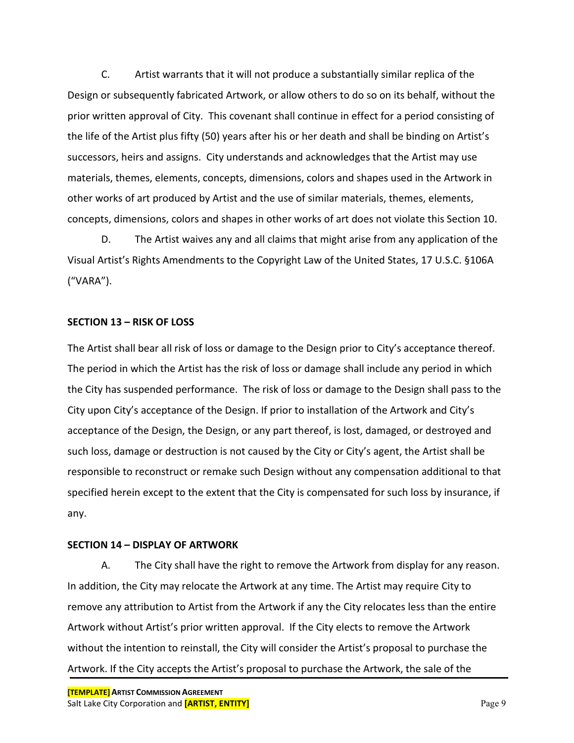C. Artist warrants that it will not produce a substantially similar replica of the Design or subsequently fabricated Artwork, or allow others to do so on its behalf, without the prior written approval of City. This covenant shall continue in effect for a period consisting of the life of the Artist plus fifty (50) years after his or her death and shall be binding on Artist's successors, heirs and assigns. City understands and acknowledges that the Artist may use materials, themes, elements, concepts, dimensions, colors and shapes used in the Artwork in other works of art produced by Artist and the use of similar materials, themes, elements, concepts, dimensions, colors and shapes in other works of art does not violate this Section 10.

D. The Artist waives any and all claims that might arise from any application of the Visual Artist's Rights Amendments to the Copyright Law of the United States, 17 U.S.C. §106A ("VARA").

#### **SECTION 13 – RISK OF LOSS**

The Artist shall bear all risk of loss or damage to the Design prior to City's acceptance thereof. The period in which the Artist has the risk of loss or damage shall include any period in which the City has suspended performance. The risk of loss or damage to the Design shall pass to the City upon City's acceptance of the Design. If prior to installation of the Artwork and City's acceptance of the Design, the Design, or any part thereof, is lost, damaged, or destroyed and such loss, damage or destruction is not caused by the City or City's agent, the Artist shall be responsible to reconstruct or remake such Design without any compensation additional to that specified herein except to the extent that the City is compensated for such loss by insurance, if any.

#### **SECTION 14 – DISPLAY OF ARTWORK**

A. The City shall have the right to remove the Artwork from display for any reason. In addition, the City may relocate the Artwork at any time. The Artist may require City to remove any attribution to Artist from the Artwork if any the City relocates less than the entire Artwork without Artist's prior written approval. If the City elects to remove the Artwork without the intention to reinstall, the City will consider the Artist's proposal to purchase the Artwork. If the City accepts the Artist's proposal to purchase the Artwork, the sale of the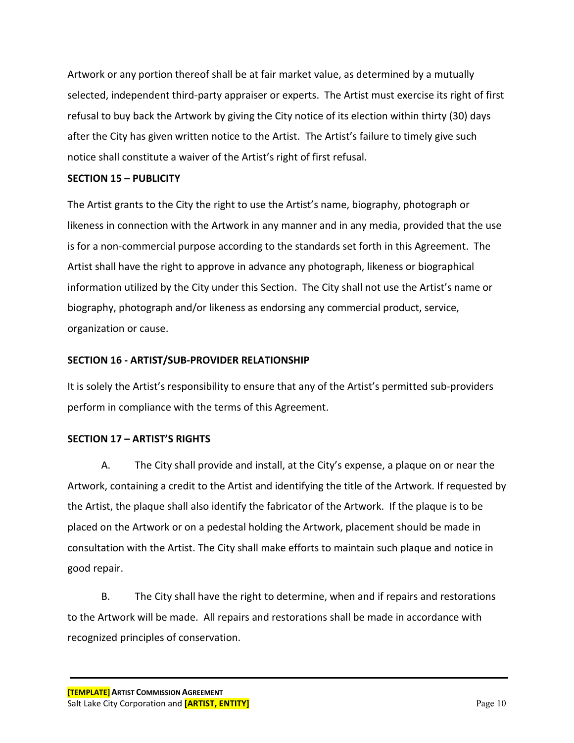Artwork or any portion thereof shall be at fair market value, as determined by a mutually selected, independent third-party appraiser or experts. The Artist must exercise its right of first refusal to buy back the Artwork by giving the City notice of its election within thirty (30) days after the City has given written notice to the Artist. The Artist's failure to timely give such notice shall constitute a waiver of the Artist's right of first refusal.

#### **SECTION 15 – PUBLICITY**

The Artist grants to the City the right to use the Artist's name, biography, photograph or likeness in connection with the Artwork in any manner and in any media, provided that the use is for a non-commercial purpose according to the standards set forth in this Agreement. The Artist shall have the right to approve in advance any photograph, likeness or biographical information utilized by the City under this Section. The City shall not use the Artist's name or biography, photograph and/or likeness as endorsing any commercial product, service, organization or cause.

#### **SECTION 16 - ARTIST/SUB-PROVIDER RELATIONSHIP**

It is solely the Artist's responsibility to ensure that any of the Artist's permitted sub-providers perform in compliance with the terms of this Agreement.

#### **SECTION 17 – ARTIST'S RIGHTS**

A. The City shall provide and install, at the City's expense, a plaque on or near the Artwork, containing a credit to the Artist and identifying the title of the Artwork. If requested by the Artist, the plaque shall also identify the fabricator of the Artwork. If the plaque is to be placed on the Artwork or on a pedestal holding the Artwork, placement should be made in consultation with the Artist. The City shall make efforts to maintain such plaque and notice in good repair.

B. The City shall have the right to determine, when and if repairs and restorations to the Artwork will be made. All repairs and restorations shall be made in accordance with recognized principles of conservation.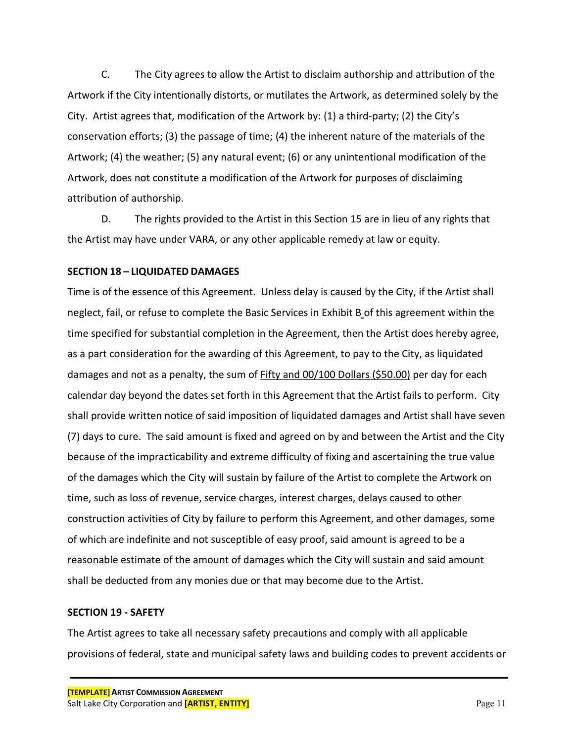C. The City agrees to allow the Artist to disclaim authorship and attribution of the Artwork if the City intentionally distorts, or mutilates the Artwork, as determined solely by the City. Artist agrees that, modification of the Artwork by: (1) a third-party; (2) the City's conservation efforts; (3) the passage of time; (4) the inherent nature of the materials of the Artwork; (4) the weather; (5) any natural event; (6) or any unintentional modification of the Artwork, does not constitute a modification of the Artwork for purposes of disclaiming attribution of authorship.

D. The rights provided to the Artist in this Section 15 are in lieu of any rights that the Artist may have under VARA, or any other applicable remedy at law or equity.

#### **SECTION 18 – LIQUIDATED DAMAGES**

Time is of the essence of this Agreement. Unless delay is caused by the City, if the Artist shall neglect, fail, or refuse to complete the Basic Services in Exhibit B of this agreement within the time specified for substantial completion in the Agreement, then the Artist does hereby agree, as a part consideration for the awarding of this Agreement, to pay to the City, as liquidated damages and not as a penalty, the sum of Fifty and 00/100 Dollars (\$50.00) per day for each calendar day beyond the dates set forth in this Agreement that the Artist fails to perform. City shall provide written notice of said imposition of liquidated damages and Artist shall have seven (7) days to cure. The said amount is fixed and agreed on by and between the Artist and the City because of the impracticability and extreme difficulty of fixing and ascertaining the true value of the damages which the City will sustain by failure of the Artist to complete the Artwork on time, such as loss of revenue, service charges, interest charges, delays caused to other construction activities of City by failure to perform this Agreement, and other damages, some of which are indefinite and not susceptible of easy proof, said amount is agreed to be a reasonable estimate of the amount of damages which the City will sustain and said amount shall be deducted from any monies due or that may become due to the Artist.

#### **SECTION 19 - SAFETY**

The Artist agrees to take all necessary safety precautions and comply with all applicable provisions of federal, state and municipal safety laws and building codes to prevent accidents or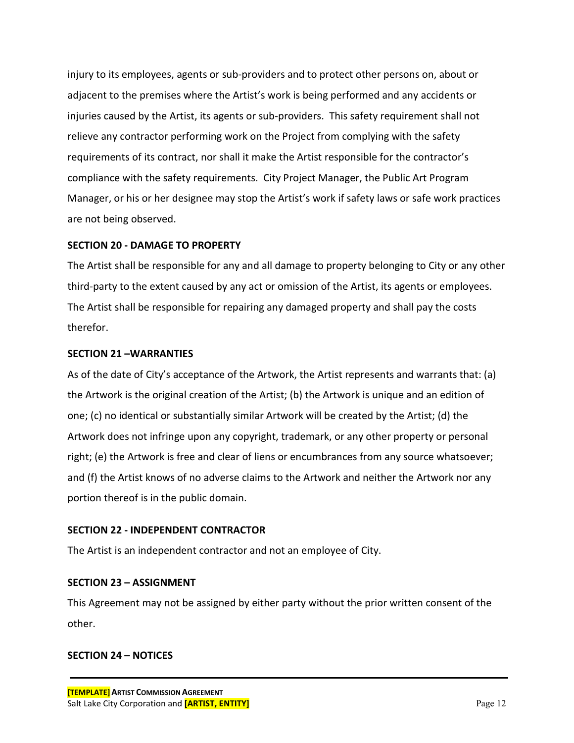injury to its employees, agents or sub-providers and to protect other persons on, about or adjacent to the premises where the Artist's work is being performed and any accidents or injuries caused by the Artist, its agents or sub-providers. This safety requirement shall not relieve any contractor performing work on the Project from complying with the safety requirements of its contract, nor shall it make the Artist responsible for the contractor's compliance with the safety requirements. City Project Manager, the Public Art Program Manager, or his or her designee may stop the Artist's work if safety laws or safe work practices are not being observed.

#### **SECTION 20 - DAMAGE TO PROPERTY**

The Artist shall be responsible for any and all damage to property belonging to City or any other third-party to the extent caused by any act or omission of the Artist, its agents or employees. The Artist shall be responsible for repairing any damaged property and shall pay the costs therefor.

#### **SECTION 21 –WARRANTIES**

As of the date of City's acceptance of the Artwork, the Artist represents and warrants that: (a) the Artwork is the original creation of the Artist; (b) the Artwork is unique and an edition of one; (c) no identical or substantially similar Artwork will be created by the Artist; (d) the Artwork does not infringe upon any copyright, trademark, or any other property or personal right; (e) the Artwork is free and clear of liens or encumbrances from any source whatsoever; and (f) the Artist knows of no adverse claims to the Artwork and neither the Artwork nor any portion thereof is in the public domain.

## **SECTION 22 - INDEPENDENT CONTRACTOR**

The Artist is an independent contractor and not an employee of City.

## **SECTION 23 – ASSIGNMENT**

This Agreement may not be assigned by either party without the prior written consent of the other.

#### **SECTION 24 – NOTICES**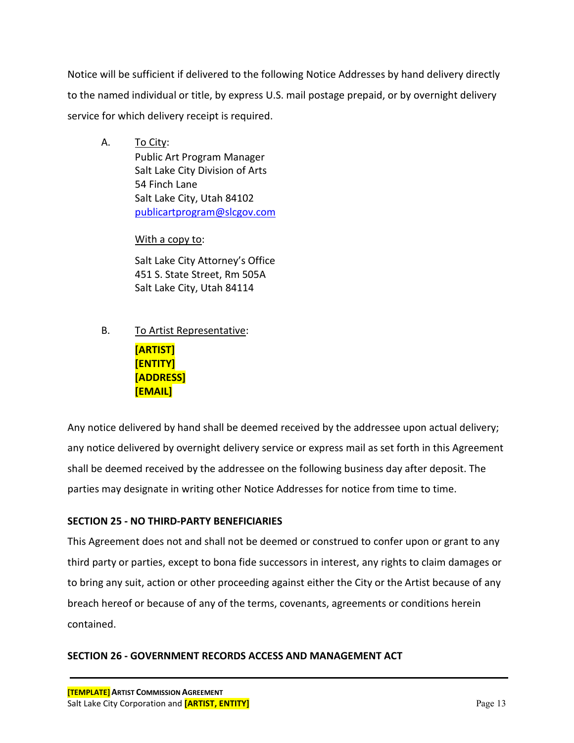Notice will be sufficient if delivered to the following Notice Addresses by hand delivery directly to the named individual or title, by express U.S. mail postage prepaid, or by overnight delivery service for which delivery receipt is required.

A. To City: Public Art Program Manager Salt Lake City Division of Arts 54 Finch Lane Salt Lake City, Utah 84102 [publicartprogram@slcgov.com](mailto:publicartprogram@slcgov.com)

## With a copy to:

Salt Lake City Attorney's Office 451 S. State Street, Rm 505A Salt Lake City, Utah 84114

B. To Artist Representative:

**[ARTIST] [ENTITY] [ADDRESS] [EMAIL]**

Any notice delivered by hand shall be deemed received by the addressee upon actual delivery; any notice delivered by overnight delivery service or express mail as set forth in this Agreement shall be deemed received by the addressee on the following business day after deposit. The parties may designate in writing other Notice Addresses for notice from time to time.

## **SECTION 25 - NO THIRD-PARTY BENEFICIARIES**

This Agreement does not and shall not be deemed or construed to confer upon or grant to any third party or parties, except to bona fide successors in interest, any rights to claim damages or to bring any suit, action or other proceeding against either the City or the Artist because of any breach hereof or because of any of the terms, covenants, agreements or conditions herein contained.

## **SECTION 26 - GOVERNMENT RECORDS ACCESS AND MANAGEMENT ACT**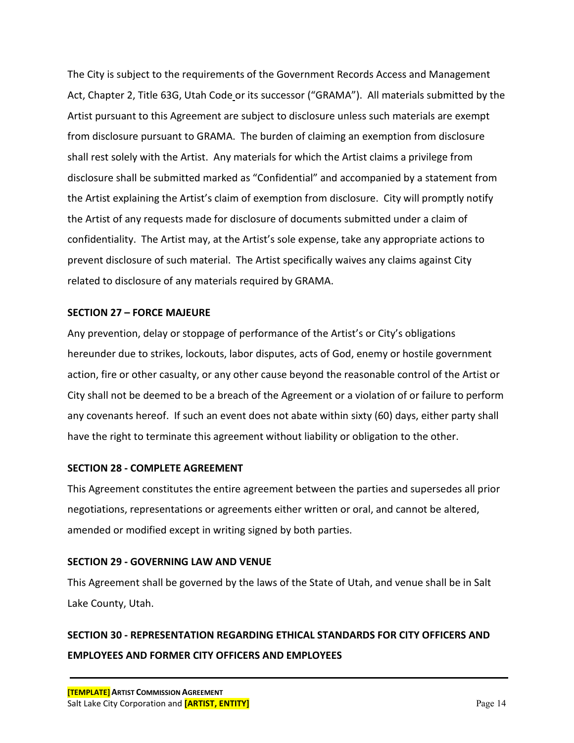The City is subject to the requirements of the Government Records Access and Management Act, Chapter 2, Title 63G, Utah Code or its successor ("GRAMA"). All materials submitted by the Artist pursuant to this Agreement are subject to disclosure unless such materials are exempt from disclosure pursuant to GRAMA. The burden of claiming an exemption from disclosure shall rest solely with the Artist. Any materials for which the Artist claims a privilege from disclosure shall be submitted marked as "Confidential" and accompanied by a statement from the Artist explaining the Artist's claim of exemption from disclosure. City will promptly notify the Artist of any requests made for disclosure of documents submitted under a claim of confidentiality. The Artist may, at the Artist's sole expense, take any appropriate actions to prevent disclosure of such material. The Artist specifically waives any claims against City related to disclosure of any materials required by GRAMA.

#### **SECTION 27 – FORCE MAJEURE**

Any prevention, delay or stoppage of performance of the Artist's or City's obligations hereunder due to strikes, lockouts, labor disputes, acts of God, enemy or hostile government action, fire or other casualty, or any other cause beyond the reasonable control of the Artist or City shall not be deemed to be a breach of the Agreement or a violation of or failure to perform any covenants hereof. If such an event does not abate within sixty (60) days, either party shall have the right to terminate this agreement without liability or obligation to the other.

## **SECTION 28 - COMPLETE AGREEMENT**

This Agreement constitutes the entire agreement between the parties and supersedes all prior negotiations, representations or agreements either written or oral, and cannot be altered, amended or modified except in writing signed by both parties.

## **SECTION 29 - GOVERNING LAW AND VENUE**

This Agreement shall be governed by the laws of the State of Utah, and venue shall be in Salt Lake County, Utah.

# **SECTION 30 - REPRESENTATION REGARDING ETHICAL STANDARDS FOR CITY OFFICERS AND EMPLOYEES AND FORMER CITY OFFICERS AND EMPLOYEES**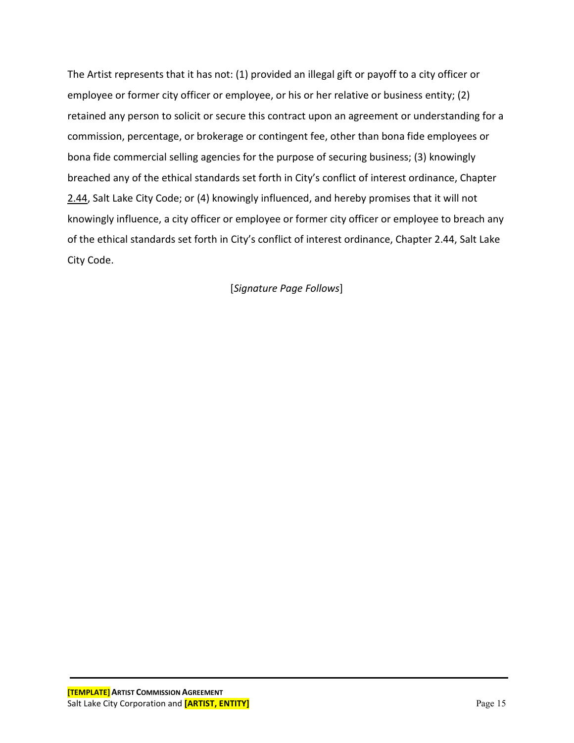The Artist represents that it has not: (1) provided an illegal gift or payoff to a city officer or employee or former city officer or employee, or his or her relative or business entity; (2) retained any person to solicit or secure this contract upon an agreement or understanding for a commission, percentage, or brokerage or contingent fee, other than bona fide employees or bona fide commercial selling agencies for the purpose of securing business; (3) knowingly breached any of the ethical standards set forth in City's conflict of interest ordinance, Chapter [2.44,](http://slcilp/CityCode/lpext.dll?f=FifLink&t=document-frame.htm&l=jump&iid=425840ce.a293490d.0.0&nid=323#JD_244) Salt Lake City Code; or (4) knowingly influenced, and hereby promises that it will not knowingly influence, a city officer or employee or former city officer or employee to breach any of the ethical standards set forth in City's conflict of interest ordinance, Chapter 2.44, Salt Lake City Code.

[*Signature Page Follows*]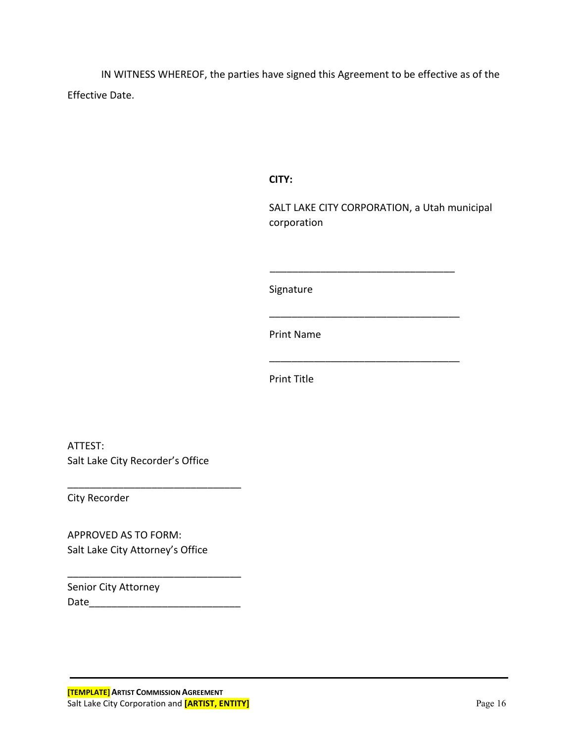IN WITNESS WHEREOF, the parties have signed this Agreement to be effective as of the Effective Date.

**CITY:**

SALT LAKE CITY CORPORATION, a Utah municipal corporation

\_\_\_\_\_\_\_\_\_\_\_\_\_\_\_\_\_\_\_\_\_\_\_\_\_\_\_\_\_\_\_\_\_

\_\_\_\_\_\_\_\_\_\_\_\_\_\_\_\_\_\_\_\_\_\_\_\_\_\_\_\_\_\_\_\_\_\_

\_\_\_\_\_\_\_\_\_\_\_\_\_\_\_\_\_\_\_\_\_\_\_\_\_\_\_\_\_\_\_\_\_\_

Signature

Print Name

Print Title

ATTEST: Salt Lake City Recorder's Office

\_\_\_\_\_\_\_\_\_\_\_\_\_\_\_\_\_\_\_\_\_\_\_\_\_\_\_\_\_\_\_

\_\_\_\_\_\_\_\_\_\_\_\_\_\_\_\_\_\_\_\_\_\_\_\_\_\_\_\_\_\_\_

City Recorder

APPROVED AS TO FORM: Salt Lake City Attorney's Office

Senior City Attorney Date\_\_\_\_\_\_\_\_\_\_\_\_\_\_\_\_\_\_\_\_\_\_\_\_\_\_\_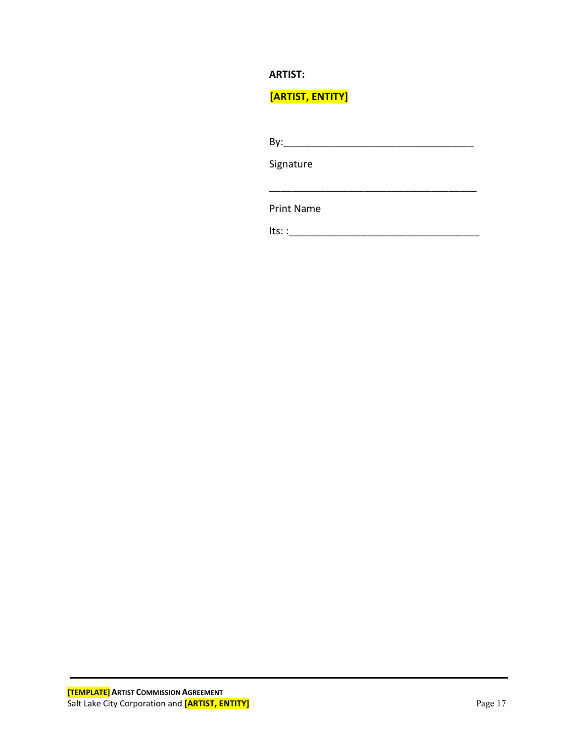## **ARTIST:**

**[ARTIST, ENTITY]**

| By:               |  |  |
|-------------------|--|--|
| Signature         |  |  |
|                   |  |  |
| <b>Print Name</b> |  |  |

 $Its: \_$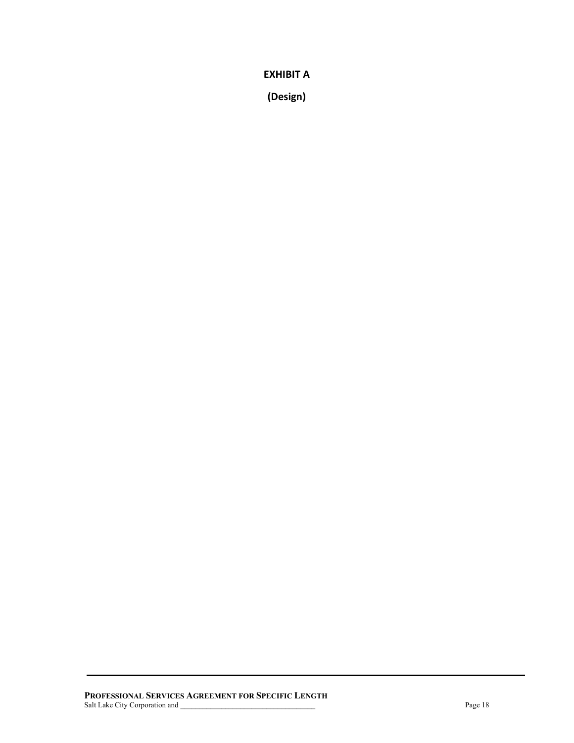**EXHIBIT A**

**(Design)**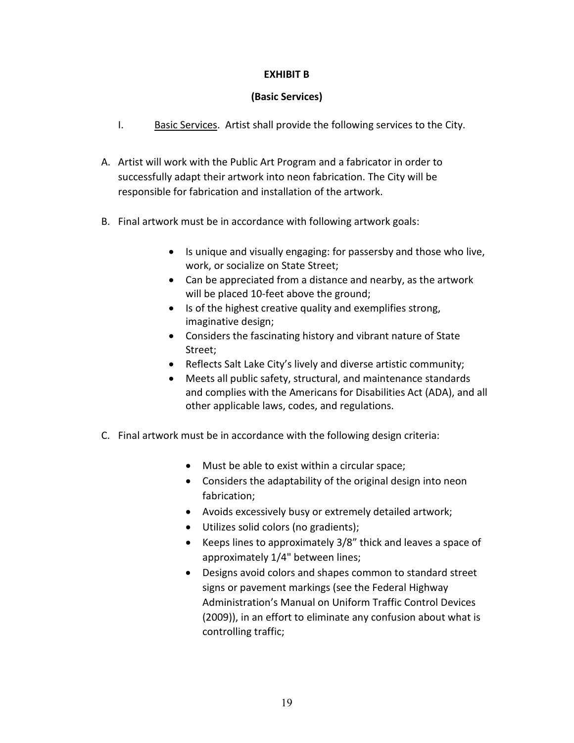## **EXHIBIT B**

#### **(Basic Services)**

- I. Basic Services. Artist shall provide the following services to the City.
- A. Artist will work with the Public Art Program and a fabricator in order to successfully adapt their artwork into neon fabrication. The City will be responsible for fabrication and installation of the artwork.
- B. Final artwork must be in accordance with following artwork goals:
	- Is unique and visually engaging: for passersby and those who live, work, or socialize on State Street;
	- Can be appreciated from a distance and nearby, as the artwork will be placed 10-feet above the ground;
	- Is of the highest creative quality and exemplifies strong, imaginative design;
	- Considers the fascinating history and vibrant nature of State Street;
	- Reflects Salt Lake City's lively and diverse artistic community;
	- Meets all public safety, structural, and maintenance standards and complies with the Americans for Disabilities Act (ADA), and all other applicable laws, codes, and regulations.
- C. Final artwork must be in accordance with the following design criteria:
	- Must be able to exist within a circular space;
	- Considers the adaptability of the original design into neon fabrication;
	- Avoids excessively busy or extremely detailed artwork;
	- Utilizes solid colors (no gradients);
	- Keeps lines to approximately 3/8" thick and leaves a space of approximately 1/4" between lines;
	- Designs avoid colors and shapes common to standard street signs or pavement markings (see the Federal Highway Administration's Manual on Uniform Traffic Control Devices (2009)), in an effort to eliminate any confusion about what is controlling traffic;